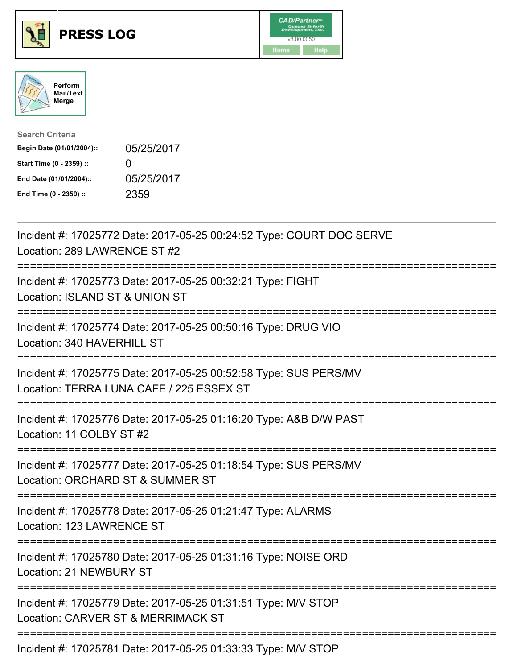





| <b>Search Criteria</b>    |                   |
|---------------------------|-------------------|
| Begin Date (01/01/2004):: | 05/25/2017        |
| Start Time (0 - 2359) ::  | $\mathbf{\Omega}$ |
| End Date (01/01/2004)::   | 05/25/2017        |
| End Time (0 - 2359) ::    | 2359              |

| Incident #: 17025772 Date: 2017-05-25 00:24:52 Type: COURT DOC SERVE<br>Location: 289 LAWRENCE ST #2                                   |
|----------------------------------------------------------------------------------------------------------------------------------------|
| Incident #: 17025773 Date: 2017-05-25 00:32:21 Type: FIGHT<br>Location: ISLAND ST & UNION ST                                           |
| Incident #: 17025774 Date: 2017-05-25 00:50:16 Type: DRUG VIO<br>Location: 340 HAVERHILL ST<br>-----------                             |
| Incident #: 17025775 Date: 2017-05-25 00:52:58 Type: SUS PERS/MV<br>Location: TERRA LUNA CAFE / 225 ESSEX ST<br>---------------------- |
| Incident #: 17025776 Date: 2017-05-25 01:16:20 Type: A&B D/W PAST<br>Location: 11 COLBY ST #2<br>---------------                       |
| Incident #: 17025777 Date: 2017-05-25 01:18:54 Type: SUS PERS/MV<br>Location: ORCHARD ST & SUMMER ST<br>------------                   |
| Incident #: 17025778 Date: 2017-05-25 01:21:47 Type: ALARMS<br>Location: 123 LAWRENCE ST                                               |
| Incident #: 17025780 Date: 2017-05-25 01:31:16 Type: NOISE ORD<br><b>Location: 21 NEWBURY ST</b>                                       |
| Incident #: 17025779 Date: 2017-05-25 01:31:51 Type: M/V STOP<br>Location: CARVER ST & MERRIMACK ST                                    |
| ==============================<br>Incident #: 17025781 Date: 2017-05-25 01:33:33 Type: M/V STOP                                        |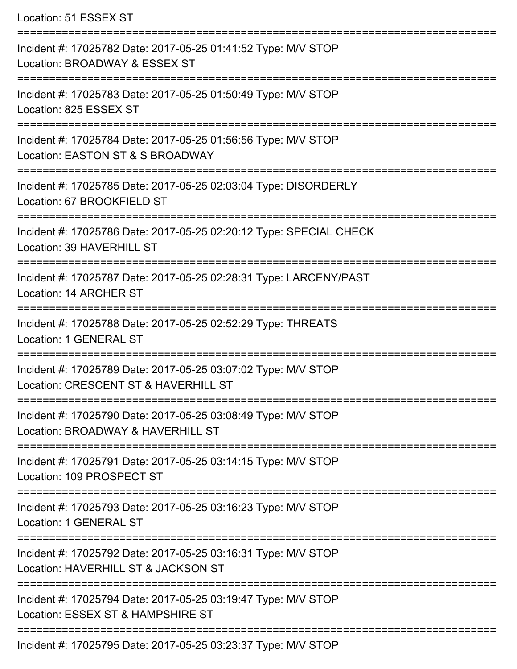Location: 51 ESSEX ST

| Incident #: 17025782 Date: 2017-05-25 01:41:52 Type: M/V STOP<br>Location: BROADWAY & ESSEX ST         |
|--------------------------------------------------------------------------------------------------------|
| Incident #: 17025783 Date: 2017-05-25 01:50:49 Type: M/V STOP<br>Location: 825 ESSEX ST                |
| Incident #: 17025784 Date: 2017-05-25 01:56:56 Type: M/V STOP<br>Location: EASTON ST & S BROADWAY      |
| Incident #: 17025785 Date: 2017-05-25 02:03:04 Type: DISORDERLY<br>Location: 67 BROOKFIELD ST          |
| Incident #: 17025786 Date: 2017-05-25 02:20:12 Type: SPECIAL CHECK<br><b>Location: 39 HAVERHILL ST</b> |
| Incident #: 17025787 Date: 2017-05-25 02:28:31 Type: LARCENY/PAST<br>Location: 14 ARCHER ST            |
| Incident #: 17025788 Date: 2017-05-25 02:52:29 Type: THREATS<br>Location: 1 GENERAL ST                 |
| Incident #: 17025789 Date: 2017-05-25 03:07:02 Type: M/V STOP<br>Location: CRESCENT ST & HAVERHILL ST  |
| Incident #: 17025790 Date: 2017-05-25 03:08:49 Type: M/V STOP<br>Location: BROADWAY & HAVERHILL ST     |
| Incident #: 17025791 Date: 2017-05-25 03:14:15 Type: M/V STOP<br>Location: 109 PROSPECT ST             |
| Incident #: 17025793 Date: 2017-05-25 03:16:23 Type: M/V STOP<br>Location: 1 GENERAL ST                |
| Incident #: 17025792 Date: 2017-05-25 03:16:31 Type: M/V STOP<br>Location: HAVERHILL ST & JACKSON ST   |
| Incident #: 17025794 Date: 2017-05-25 03:19:47 Type: M/V STOP<br>Location: ESSEX ST & HAMPSHIRE ST     |
| $l$ and and $\mu$ , $47005705$ Detail $9047$ OF $95.92.92.27$ Times MAL CTOD                           |

Incident #: 17025795 Date: 2017-05-25 03:23:37 Type: M/V STOP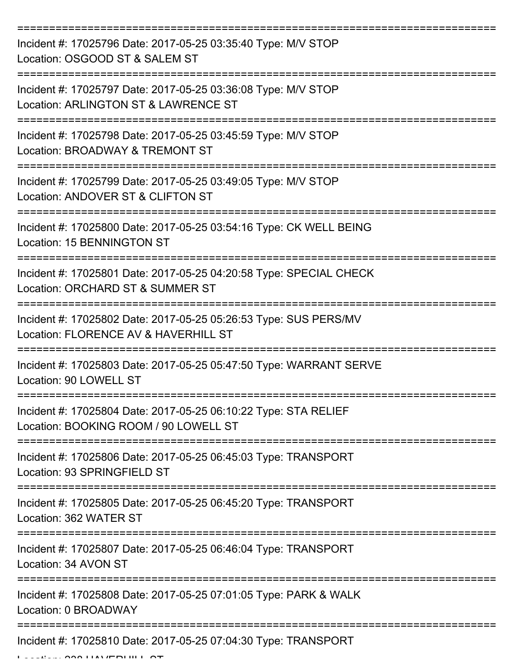| Incident #: 17025796 Date: 2017-05-25 03:35:40 Type: M/V STOP<br>Location: OSGOOD ST & SALEM ST                                  |
|----------------------------------------------------------------------------------------------------------------------------------|
| Incident #: 17025797 Date: 2017-05-25 03:36:08 Type: M/V STOP<br>Location: ARLINGTON ST & LAWRENCE ST                            |
| Incident #: 17025798 Date: 2017-05-25 03:45:59 Type: M/V STOP<br>Location: BROADWAY & TREMONT ST                                 |
| Incident #: 17025799 Date: 2017-05-25 03:49:05 Type: M/V STOP<br>Location: ANDOVER ST & CLIFTON ST                               |
| Incident #: 17025800 Date: 2017-05-25 03:54:16 Type: CK WELL BEING<br><b>Location: 15 BENNINGTON ST</b>                          |
| Incident #: 17025801 Date: 2017-05-25 04:20:58 Type: SPECIAL CHECK<br>Location: ORCHARD ST & SUMMER ST                           |
| Incident #: 17025802 Date: 2017-05-25 05:26:53 Type: SUS PERS/MV<br>Location: FLORENCE AV & HAVERHILL ST                         |
| Incident #: 17025803 Date: 2017-05-25 05:47:50 Type: WARRANT SERVE<br>Location: 90 LOWELL ST                                     |
| Incident #: 17025804 Date: 2017-05-25 06:10:22 Type: STA RELIEF<br>Location: BOOKING ROOM / 90 LOWELL ST                         |
| Incident #: 17025806 Date: 2017-05-25 06:45:03 Type: TRANSPORT<br>Location: 93 SPRINGFIELD ST                                    |
| Incident #: 17025805 Date: 2017-05-25 06:45:20 Type: TRANSPORT<br>Location: 362 WATER ST<br>:=================================== |
| Incident #: 17025807 Date: 2017-05-25 06:46:04 Type: TRANSPORT<br>Location: 34 AVON ST                                           |
| Incident #: 17025808 Date: 2017-05-25 07:01:05 Type: PARK & WALK<br>Location: 0 BROADWAY                                         |
| Incident #: 17025810 Date: 2017-05-25 07:04:30 Type: TRANSPORT                                                                   |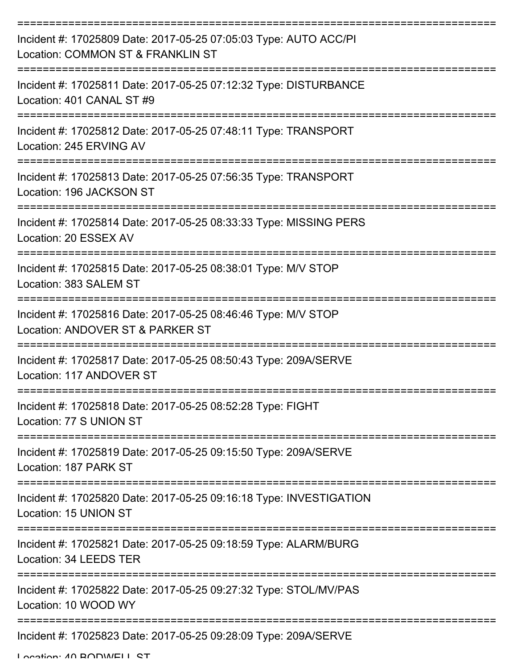| Incident #: 17025809 Date: 2017-05-25 07:05:03 Type: AUTO ACC/PI<br>Location: COMMON ST & FRANKLIN ST |
|-------------------------------------------------------------------------------------------------------|
| Incident #: 17025811 Date: 2017-05-25 07:12:32 Type: DISTURBANCE<br>Location: 401 CANAL ST #9         |
| Incident #: 17025812 Date: 2017-05-25 07:48:11 Type: TRANSPORT<br>Location: 245 ERVING AV             |
| Incident #: 17025813 Date: 2017-05-25 07:56:35 Type: TRANSPORT<br>Location: 196 JACKSON ST            |
| Incident #: 17025814 Date: 2017-05-25 08:33:33 Type: MISSING PERS<br>Location: 20 ESSEX AV            |
| Incident #: 17025815 Date: 2017-05-25 08:38:01 Type: M/V STOP<br>Location: 383 SALEM ST               |
| Incident #: 17025816 Date: 2017-05-25 08:46:46 Type: M/V STOP<br>Location: ANDOVER ST & PARKER ST     |
| Incident #: 17025817 Date: 2017-05-25 08:50:43 Type: 209A/SERVE<br>Location: 117 ANDOVER ST           |
| Incident #: 17025818 Date: 2017-05-25 08:52:28 Type: FIGHT<br>Location: 77 S UNION ST                 |
| Incident #: 17025819 Date: 2017-05-25 09:15:50 Type: 209A/SERVE<br>Location: 187 PARK ST              |
| Incident #: 17025820 Date: 2017-05-25 09:16:18 Type: INVESTIGATION<br>Location: 15 UNION ST           |
| Incident #: 17025821 Date: 2017-05-25 09:18:59 Type: ALARM/BURG<br>Location: 34 LEEDS TER             |
| Incident #: 17025822 Date: 2017-05-25 09:27:32 Type: STOL/MV/PAS<br>Location: 10 WOOD WY              |
| Incident #: 17025823 Date: 2017-05-25 09:28:09 Type: 209A/SERVE                                       |

Location: 40 BODWELL ST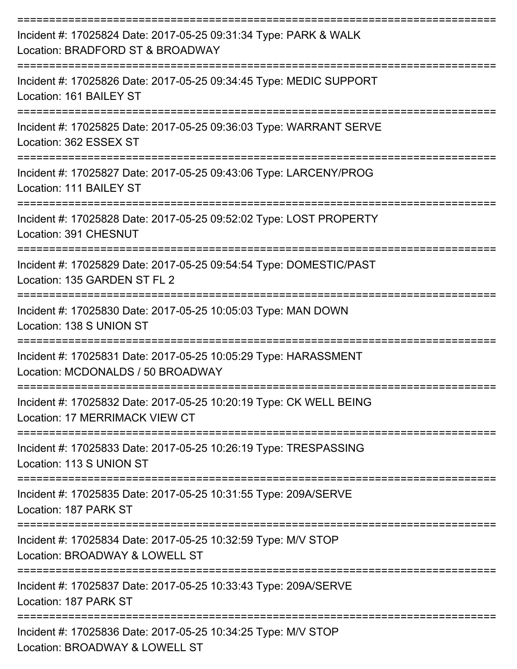| Incident #: 17025824 Date: 2017-05-25 09:31:34 Type: PARK & WALK<br>Location: BRADFORD ST & BROADWAY                                 |
|--------------------------------------------------------------------------------------------------------------------------------------|
| Incident #: 17025826 Date: 2017-05-25 09:34:45 Type: MEDIC SUPPORT<br>Location: 161 BAILEY ST                                        |
| Incident #: 17025825 Date: 2017-05-25 09:36:03 Type: WARRANT SERVE<br>Location: 362 ESSEX ST                                         |
| Incident #: 17025827 Date: 2017-05-25 09:43:06 Type: LARCENY/PROG<br>Location: 111 BAILEY ST                                         |
| Incident #: 17025828 Date: 2017-05-25 09:52:02 Type: LOST PROPERTY<br>Location: 391 CHESNUT                                          |
| Incident #: 17025829 Date: 2017-05-25 09:54:54 Type: DOMESTIC/PAST<br>Location: 135 GARDEN ST FL 2                                   |
| Incident #: 17025830 Date: 2017-05-25 10:05:03 Type: MAN DOWN<br>Location: 138 S UNION ST                                            |
| Incident #: 17025831 Date: 2017-05-25 10:05:29 Type: HARASSMENT<br>Location: MCDONALDS / 50 BROADWAY                                 |
| Incident #: 17025832 Date: 2017-05-25 10:20:19 Type: CK WELL BEING<br>Location: 17 MERRIMACK VIEW CT                                 |
| Incident #: 17025833 Date: 2017-05-25 10:26:19 Type: TRESPASSING<br>Location: 113 S UNION ST                                         |
| Incident #: 17025835 Date: 2017-05-25 10:31:55 Type: 209A/SERVE<br>Location: 187 PARK ST                                             |
| :================================<br>Incident #: 17025834 Date: 2017-05-25 10:32:59 Type: M/V STOP<br>Location: BROADWAY & LOWELL ST |
| Incident #: 17025837 Date: 2017-05-25 10:33:43 Type: 209A/SERVE<br>Location: 187 PARK ST                                             |
| Incident #: 17025836 Date: 2017-05-25 10:34:25 Type: M/V STOP<br>Location: BROADWAY & LOWELL ST                                      |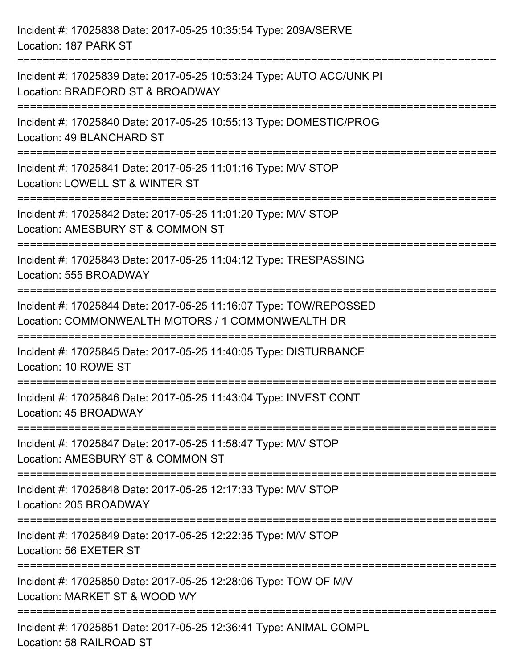| Incident #: 17025838 Date: 2017-05-25 10:35:54 Type: 209A/SERVE<br>Location: 187 PARK ST                                       |
|--------------------------------------------------------------------------------------------------------------------------------|
| Incident #: 17025839 Date: 2017-05-25 10:53:24 Type: AUTO ACC/UNK PI<br>Location: BRADFORD ST & BROADWAY                       |
| Incident #: 17025840 Date: 2017-05-25 10:55:13 Type: DOMESTIC/PROG<br>Location: 49 BLANCHARD ST<br>=========================== |
| Incident #: 17025841 Date: 2017-05-25 11:01:16 Type: M/V STOP<br>Location: LOWELL ST & WINTER ST                               |
| Incident #: 17025842 Date: 2017-05-25 11:01:20 Type: M/V STOP<br>Location: AMESBURY ST & COMMON ST<br>:===================     |
| Incident #: 17025843 Date: 2017-05-25 11:04:12 Type: TRESPASSING<br>Location: 555 BROADWAY                                     |
| Incident #: 17025844 Date: 2017-05-25 11:16:07 Type: TOW/REPOSSED<br>Location: COMMONWEALTH MOTORS / 1 COMMONWEALTH DR         |
| -----------------------------<br>Incident #: 17025845 Date: 2017-05-25 11:40:05 Type: DISTURBANCE<br>Location: 10 ROWE ST      |
| Incident #: 17025846 Date: 2017-05-25 11:43:04 Type: INVEST CONT<br>Location: 45 BROADWAY                                      |
| Incident #: 17025847 Date: 2017-05-25 11:58:47 Type: M/V STOP<br>Location: AMESBURY ST & COMMON ST                             |
| Incident #: 17025848 Date: 2017-05-25 12:17:33 Type: M/V STOP<br>Location: 205 BROADWAY                                        |
| Incident #: 17025849 Date: 2017-05-25 12:22:35 Type: M/V STOP<br>Location: 56 EXETER ST                                        |
| Incident #: 17025850 Date: 2017-05-25 12:28:06 Type: TOW OF M/V<br>Location: MARKET ST & WOOD WY                               |
| Incident #: 17025851 Date: 2017-05-25 12:36:41 Type: ANIMAL COMPL<br>Location: 58 RAILROAD ST                                  |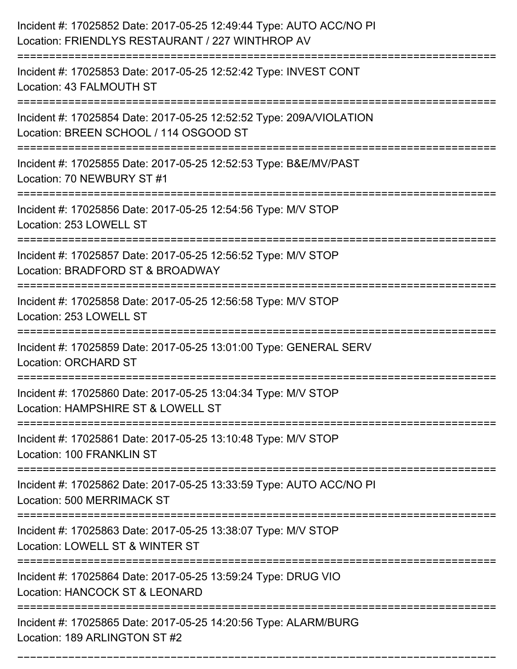| Incident #: 17025852 Date: 2017-05-25 12:49:44 Type: AUTO ACC/NO PI<br>Location: FRIENDLYS RESTAURANT / 227 WINTHROP AV                                                     |
|-----------------------------------------------------------------------------------------------------------------------------------------------------------------------------|
| Incident #: 17025853 Date: 2017-05-25 12:52:42 Type: INVEST CONT<br>Location: 43 FALMOUTH ST                                                                                |
| Incident #: 17025854 Date: 2017-05-25 12:52:52 Type: 209A/VIOLATION<br>Location: BREEN SCHOOL / 114 OSGOOD ST<br>===========================<br>:========================== |
| Incident #: 17025855 Date: 2017-05-25 12:52:53 Type: B&E/MV/PAST<br>Location: 70 NEWBURY ST #1                                                                              |
| Incident #: 17025856 Date: 2017-05-25 12:54:56 Type: M/V STOP<br>Location: 253 LOWELL ST                                                                                    |
| Incident #: 17025857 Date: 2017-05-25 12:56:52 Type: M/V STOP<br>Location: BRADFORD ST & BROADWAY                                                                           |
| Incident #: 17025858 Date: 2017-05-25 12:56:58 Type: M/V STOP<br>Location: 253 LOWELL ST                                                                                    |
| Incident #: 17025859 Date: 2017-05-25 13:01:00 Type: GENERAL SERV<br><b>Location: ORCHARD ST</b>                                                                            |
| Incident #: 17025860 Date: 2017-05-25 13:04:34 Type: M/V STOP<br>Location: HAMPSHIRE ST & LOWELL ST                                                                         |
| Incident #: 17025861 Date: 2017-05-25 13:10:48 Type: M/V STOP<br>Location: 100 FRANKLIN ST                                                                                  |
| Incident #: 17025862 Date: 2017-05-25 13:33:59 Type: AUTO ACC/NO PI<br>Location: 500 MERRIMACK ST                                                                           |
| Incident #: 17025863 Date: 2017-05-25 13:38:07 Type: M/V STOP<br>Location: LOWELL ST & WINTER ST                                                                            |
| Incident #: 17025864 Date: 2017-05-25 13:59:24 Type: DRUG VIO<br>Location: HANCOCK ST & LEONARD                                                                             |
| Incident #: 17025865 Date: 2017-05-25 14:20:56 Type: ALARM/BURG<br>Location: 189 ARLINGTON ST #2                                                                            |

===========================================================================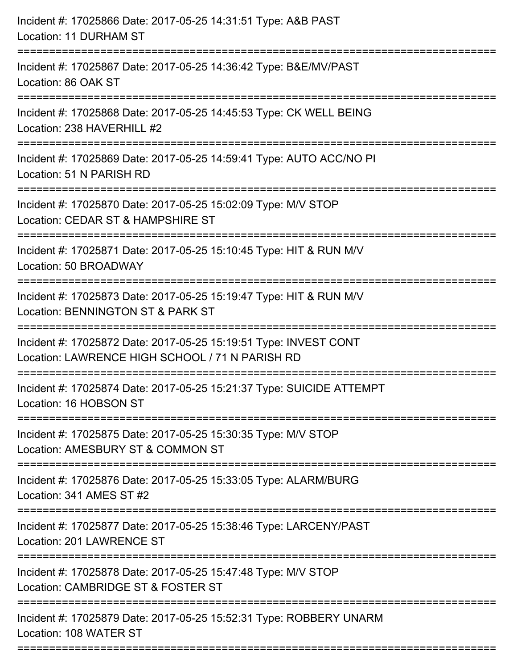| Incident #: 17025866 Date: 2017-05-25 14:31:51 Type: A&B PAST<br>Location: 11 DURHAM ST                                                |
|----------------------------------------------------------------------------------------------------------------------------------------|
| Incident #: 17025867 Date: 2017-05-25 14:36:42 Type: B&E/MV/PAST<br>Location: 86 OAK ST                                                |
| Incident #: 17025868 Date: 2017-05-25 14:45:53 Type: CK WELL BEING<br>Location: 238 HAVERHILL #2<br>================================== |
| Incident #: 17025869 Date: 2017-05-25 14:59:41 Type: AUTO ACC/NO PI<br>Location: 51 N PARISH RD                                        |
| Incident #: 17025870 Date: 2017-05-25 15:02:09 Type: M/V STOP<br>Location: CEDAR ST & HAMPSHIRE ST                                     |
| Incident #: 17025871 Date: 2017-05-25 15:10:45 Type: HIT & RUN M/V<br>Location: 50 BROADWAY                                            |
| Incident #: 17025873 Date: 2017-05-25 15:19:47 Type: HIT & RUN M/V<br>Location: BENNINGTON ST & PARK ST                                |
| Incident #: 17025872 Date: 2017-05-25 15:19:51 Type: INVEST CONT<br>Location: LAWRENCE HIGH SCHOOL / 71 N PARISH RD                    |
| Incident #: 17025874 Date: 2017-05-25 15:21:37 Type: SUICIDE ATTEMPT<br>Location: 16 HOBSON ST                                         |
| Incident #: 17025875 Date: 2017-05-25 15:30:35 Type: M/V STOP<br>Location: AMESBURY ST & COMMON ST                                     |
| Incident #: 17025876 Date: 2017-05-25 15:33:05 Type: ALARM/BURG<br>Location: 341 AMES ST #2                                            |
| Incident #: 17025877 Date: 2017-05-25 15:38:46 Type: LARCENY/PAST<br>Location: 201 LAWRENCE ST                                         |
| Incident #: 17025878 Date: 2017-05-25 15:47:48 Type: M/V STOP<br>Location: CAMBRIDGE ST & FOSTER ST                                    |
| Incident #: 17025879 Date: 2017-05-25 15:52:31 Type: ROBBERY UNARM<br>Location: 108 WATER ST                                           |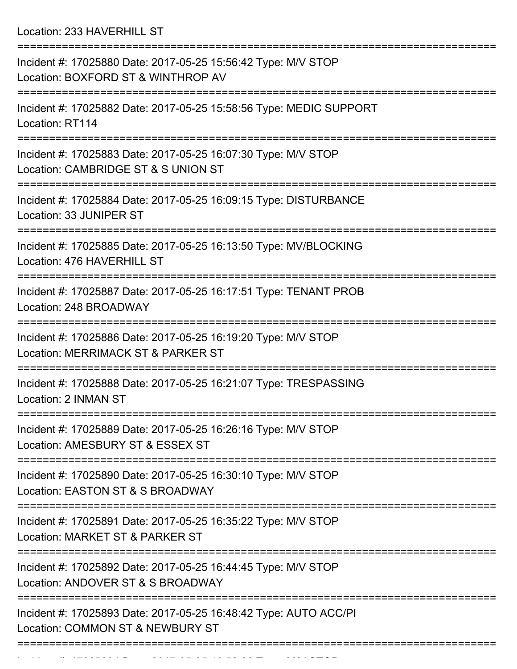Location: 233 HAVERHILL ST

| Incident #: 17025880 Date: 2017-05-25 15:56:42 Type: M/V STOP<br>Location: BOXFORD ST & WINTHROP AV  |
|------------------------------------------------------------------------------------------------------|
| Incident #: 17025882 Date: 2017-05-25 15:58:56 Type: MEDIC SUPPORT<br>Location: RT114                |
| Incident #: 17025883 Date: 2017-05-25 16:07:30 Type: M/V STOP<br>Location: CAMBRIDGE ST & S UNION ST |
| Incident #: 17025884 Date: 2017-05-25 16:09:15 Type: DISTURBANCE<br>Location: 33 JUNIPER ST          |
| Incident #: 17025885 Date: 2017-05-25 16:13:50 Type: MV/BLOCKING<br>Location: 476 HAVERHILL ST       |
| Incident #: 17025887 Date: 2017-05-25 16:17:51 Type: TENANT PROB<br>Location: 248 BROADWAY           |
| Incident #: 17025886 Date: 2017-05-25 16:19:20 Type: M/V STOP<br>Location: MERRIMACK ST & PARKER ST  |
| Incident #: 17025888 Date: 2017-05-25 16:21:07 Type: TRESPASSING<br>Location: 2 INMAN ST             |
| Incident #: 17025889 Date: 2017-05-25 16:26:16 Type: M/V STOP<br>Location: AMESBURY ST & ESSEX ST    |
| Incident #: 17025890 Date: 2017-05-25 16:30:10 Type: M/V STOP<br>Location: EASTON ST & S BROADWAY    |
| Incident #: 17025891 Date: 2017-05-25 16:35:22 Type: M/V STOP<br>Location: MARKET ST & PARKER ST     |
| Incident #: 17025892 Date: 2017-05-25 16:44:45 Type: M/V STOP<br>Location: ANDOVER ST & S BROADWAY   |
| Incident #: 17025893 Date: 2017-05-25 16:48:42 Type: AUTO ACC/PI<br>Location: COMMON ST & NEWBURY ST |
|                                                                                                      |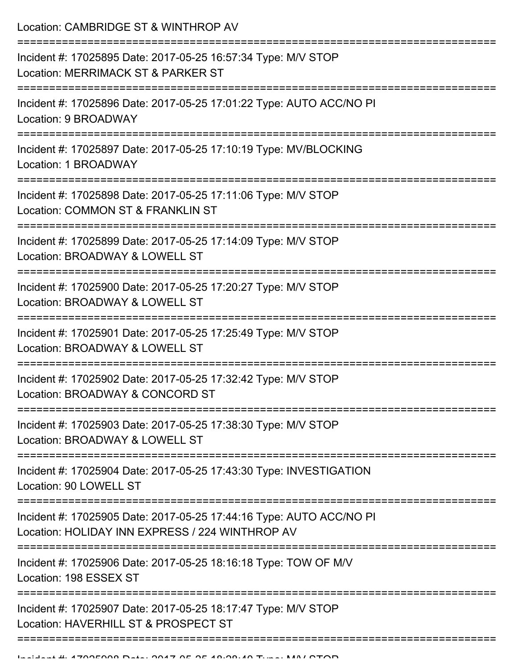Location: CAMBRIDGE ST & WINTHROP AV =========================================================================== Incident #: 17025895 Date: 2017-05-25 16:57:34 Type: M/V STOP Location: MERRIMACK ST & PARKER ST =========================================================================== Incident #: 17025896 Date: 2017-05-25 17:01:22 Type: AUTO ACC/NO PI Location: 9 BROADWAY =========================================================================== Incident #: 17025897 Date: 2017-05-25 17:10:19 Type: MV/BLOCKING Location: 1 BROADWAY =========================================================================== Incident #: 17025898 Date: 2017-05-25 17:11:06 Type: M/V STOP Location: COMMON ST & FRANKLIN ST =========================================================================== Incident #: 17025899 Date: 2017-05-25 17:14:09 Type: M/V STOP Location: BROADWAY & LOWELL ST =========================================================================== Incident #: 17025900 Date: 2017-05-25 17:20:27 Type: M/V STOP Location: BROADWAY & LOWELL ST =========================================================================== Incident #: 17025901 Date: 2017-05-25 17:25:49 Type: M/V STOP Location: BROADWAY & LOWELL ST =========================================================================== Incident #: 17025902 Date: 2017-05-25 17:32:42 Type: M/V STOP Location: BROADWAY & CONCORD ST =========================================================================== Incident #: 17025903 Date: 2017-05-25 17:38:30 Type: M/V STOP Location: BROADWAY & LOWELL ST =========================================================================== Incident #: 17025904 Date: 2017-05-25 17:43:30 Type: INVESTIGATION Location: 90 LOWELL ST =========================================================================== Incident #: 17025905 Date: 2017-05-25 17:44:16 Type: AUTO ACC/NO PI Location: HOLIDAY INN EXPRESS / 224 WINTHROP AV =========================================================================== Incident #: 17025906 Date: 2017-05-25 18:16:18 Type: TOW OF M/V Location: 198 ESSEX ST =========================================================================== Incident #: 17025907 Date: 2017-05-25 18:17:47 Type: M/V STOP Location: HAVERHILL ST & PROSPECT ST

============================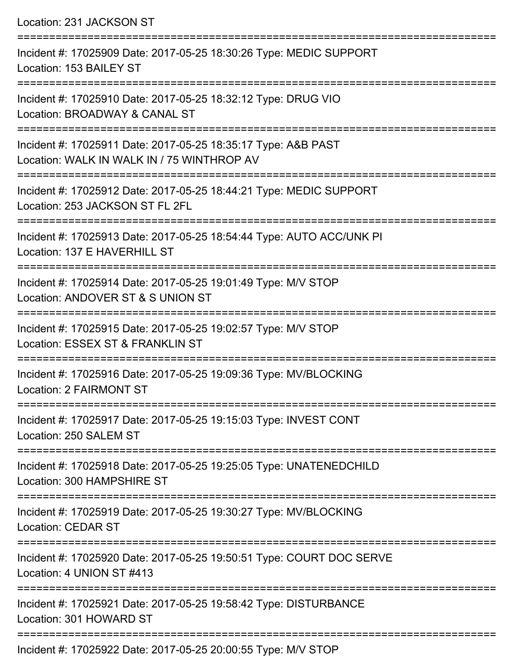Location: 231 JACKSON ST =========================================================================== Incident #: 17025909 Date: 2017-05-25 18:30:26 Type: MEDIC SUPPORT Location: 153 BAILEY ST =========================================================================== Incident #: 17025910 Date: 2017-05-25 18:32:12 Type: DRUG VIO Location: BROADWAY & CANAL ST =========================================================================== Incident #: 17025911 Date: 2017-05-25 18:35:17 Type: A&B PAST Location: WALK IN WALK IN / 75 WINTHROP AV =========================================================================== Incident #: 17025912 Date: 2017-05-25 18:44:21 Type: MEDIC SUPPORT Location: 253 JACKSON ST FL 2FL =========================================================================== Incident #: 17025913 Date: 2017-05-25 18:54:44 Type: AUTO ACC/UNK PI Location: 137 E HAVERHILL ST =========================================================================== Incident #: 17025914 Date: 2017-05-25 19:01:49 Type: M/V STOP Location: ANDOVER ST & S UNION ST =========================================================================== Incident #: 17025915 Date: 2017-05-25 19:02:57 Type: M/V STOP Location: ESSEX ST & FRANKLIN ST =========================================================================== Incident #: 17025916 Date: 2017-05-25 19:09:36 Type: MV/BLOCKING Location: 2 FAIRMONT ST =========================================================================== Incident #: 17025917 Date: 2017-05-25 19:15:03 Type: INVEST CONT Location: 250 SALEM ST =========================================================================== Incident #: 17025918 Date: 2017-05-25 19:25:05 Type: UNATENEDCHILD Location: 300 HAMPSHIRE ST =========================================================================== Incident #: 17025919 Date: 2017-05-25 19:30:27 Type: MV/BLOCKING Location: CEDAR ST =========================================================================== Incident #: 17025920 Date: 2017-05-25 19:50:51 Type: COURT DOC SERVE Location: 4 UNION ST #413 =========================================================================== Incident #: 17025921 Date: 2017-05-25 19:58:42 Type: DISTURBANCE Location: 301 HOWARD ST ===========================================================================

Incident #: 17025922 Date: 2017-05-25 20:00:55 Type: M/V STOP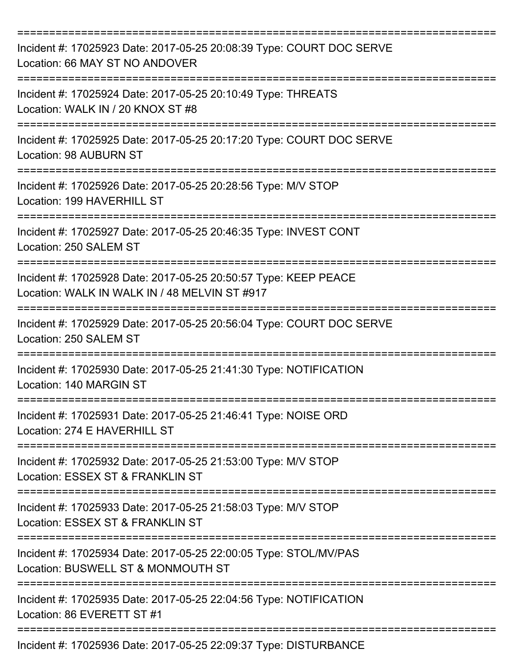| Incident #: 17025923 Date: 2017-05-25 20:08:39 Type: COURT DOC SERVE<br>Location: 66 MAY ST NO ANDOVER                          |
|---------------------------------------------------------------------------------------------------------------------------------|
| Incident #: 17025924 Date: 2017-05-25 20:10:49 Type: THREATS<br>Location: WALK IN / 20 KNOX ST #8                               |
| Incident #: 17025925 Date: 2017-05-25 20:17:20 Type: COURT DOC SERVE<br><b>Location: 98 AUBURN ST</b>                           |
| Incident #: 17025926 Date: 2017-05-25 20:28:56 Type: M/V STOP<br>Location: 199 HAVERHILL ST                                     |
| Incident #: 17025927 Date: 2017-05-25 20:46:35 Type: INVEST CONT<br>Location: 250 SALEM ST                                      |
| Incident #: 17025928 Date: 2017-05-25 20:50:57 Type: KEEP PEACE<br>Location: WALK IN WALK IN / 48 MELVIN ST #917                |
| Incident #: 17025929 Date: 2017-05-25 20:56:04 Type: COURT DOC SERVE<br>Location: 250 SALEM ST                                  |
| Incident #: 17025930 Date: 2017-05-25 21:41:30 Type: NOTIFICATION<br>Location: 140 MARGIN ST                                    |
| =============================<br>Incident #: 17025931 Date: 2017-05-25 21:46:41 Type: NOISE ORD<br>Location: 274 E HAVERHILL ST |
| Incident #: 17025932 Date: 2017-05-25 21:53:00 Type: M/V STOP<br>Location: ESSEX ST & FRANKLIN ST                               |
| Incident #: 17025933 Date: 2017-05-25 21:58:03 Type: M/V STOP<br>Location: ESSEX ST & FRANKLIN ST                               |
| Incident #: 17025934 Date: 2017-05-25 22:00:05 Type: STOL/MV/PAS<br>Location: BUSWELL ST & MONMOUTH ST                          |
| Incident #: 17025935 Date: 2017-05-25 22:04:56 Type: NOTIFICATION<br>Location: 86 EVERETT ST #1                                 |
| Incident #: 17025936 Date: 2017-05-25 22:09:37 Type: DISTURBANCE                                                                |